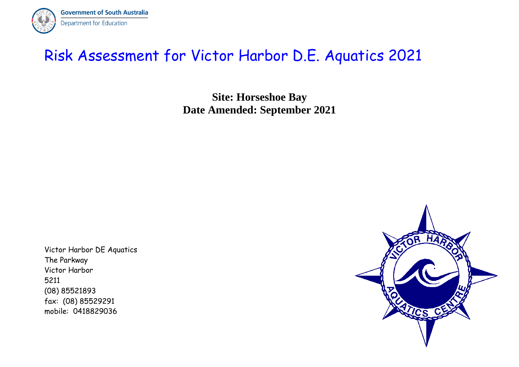

## Risk Assessment for Victor Harbor D.E. Aquatics 2021

**Site: Horseshoe Bay Date Amended: September 2021**

Victor Harbor DE Aquatics The Parkway Victor Harbor 5211 (08) 85521893 fax: (08) 85529291 mobile: 0418829036

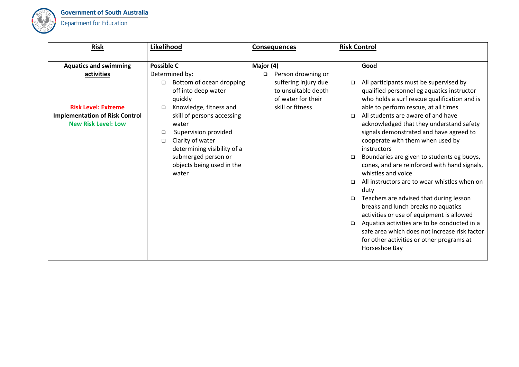

| <b>Risk</b>                                                         | Likelihood                                                                                                                                                                                 | <b>Consequences</b>                                                                   | <b>Risk Control</b>                                                                                                                                                                                                                                                                                                                                                                                                                                                                                                                                                                                                                                                                  |
|---------------------------------------------------------------------|--------------------------------------------------------------------------------------------------------------------------------------------------------------------------------------------|---------------------------------------------------------------------------------------|--------------------------------------------------------------------------------------------------------------------------------------------------------------------------------------------------------------------------------------------------------------------------------------------------------------------------------------------------------------------------------------------------------------------------------------------------------------------------------------------------------------------------------------------------------------------------------------------------------------------------------------------------------------------------------------|
|                                                                     |                                                                                                                                                                                            |                                                                                       |                                                                                                                                                                                                                                                                                                                                                                                                                                                                                                                                                                                                                                                                                      |
| <b>Aquatics and swimming</b>                                        | <b>Possible C</b>                                                                                                                                                                          | Major (4)                                                                             | Good                                                                                                                                                                                                                                                                                                                                                                                                                                                                                                                                                                                                                                                                                 |
| activities                                                          | Determined by:                                                                                                                                                                             | Person drowning or<br>$\Box$                                                          |                                                                                                                                                                                                                                                                                                                                                                                                                                                                                                                                                                                                                                                                                      |
| <b>Risk Level: Extreme</b>                                          | Bottom of ocean dropping<br>$\Box$<br>off into deep water<br>quickly<br>Knowledge, fitness and<br>$\Box$                                                                                   | suffering injury due<br>to unsuitable depth<br>of water for their<br>skill or fitness | All participants must be supervised by<br>$\Box$<br>qualified personnel eg aquatics instructor<br>who holds a surf rescue qualification and is<br>able to perform rescue, at all times                                                                                                                                                                                                                                                                                                                                                                                                                                                                                               |
| <b>Implementation of Risk Control</b><br><b>New Risk Level: Low</b> | skill of persons accessing<br>water<br>Supervision provided<br>□<br>Clarity of water<br>$\Box$<br>determining visibility of a<br>submerged person or<br>objects being used in the<br>water |                                                                                       | All students are aware of and have<br>$\Box$<br>acknowledged that they understand safety<br>signals demonstrated and have agreed to<br>cooperate with them when used by<br>instructors<br>Boundaries are given to students eg buoys,<br>$\Box$<br>cones, and are reinforced with hand signals,<br>whistles and voice<br>All instructors are to wear whistles when on<br>duty<br>Teachers are advised that during lesson<br>$\Box$<br>breaks and lunch breaks no aquatics<br>activities or use of equipment is allowed<br>Aquatics activities are to be conducted in a<br>safe area which does not increase risk factor<br>for other activities or other programs at<br>Horseshoe Bay |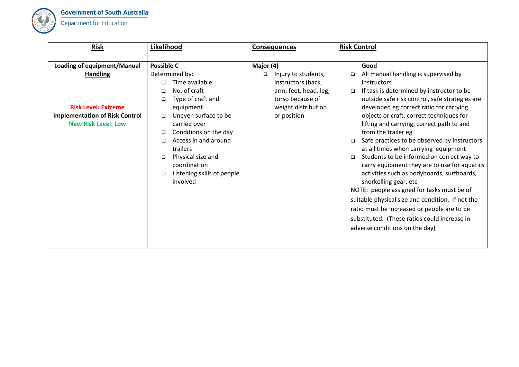

**Government of South Australia**  $\overline{\phantom{a}}$ 

| <b>Risk</b>                                                                                       | Likelihood                                                                                                                                                                                                                                      | <b>Consequences</b>                                 | <b>Risk Control</b>                                                                                                                                                                                                                                                                                                                                                                                                                                                                                                                                                                                                                                                   |
|---------------------------------------------------------------------------------------------------|-------------------------------------------------------------------------------------------------------------------------------------------------------------------------------------------------------------------------------------------------|-----------------------------------------------------|-----------------------------------------------------------------------------------------------------------------------------------------------------------------------------------------------------------------------------------------------------------------------------------------------------------------------------------------------------------------------------------------------------------------------------------------------------------------------------------------------------------------------------------------------------------------------------------------------------------------------------------------------------------------------|
|                                                                                                   |                                                                                                                                                                                                                                                 |                                                     |                                                                                                                                                                                                                                                                                                                                                                                                                                                                                                                                                                                                                                                                       |
| <b>Loading of equipment/Manual</b>                                                                | <b>Possible C</b>                                                                                                                                                                                                                               | Major (4)                                           | Good                                                                                                                                                                                                                                                                                                                                                                                                                                                                                                                                                                                                                                                                  |
| <b>Handling</b>                                                                                   | Determined by:<br>Time available<br>$\Box$                                                                                                                                                                                                      | Injury to students,<br>$\Box$<br>instructors (back, | All manual handling is supervised by<br>$\Box$<br><i>instructors</i>                                                                                                                                                                                                                                                                                                                                                                                                                                                                                                                                                                                                  |
|                                                                                                   | No. of craft<br>$\Box$<br>Type of craft and<br>$\Box$                                                                                                                                                                                           | arm, feet, head, leg,<br>torso because of           | If task is determined by instructor to be<br>$\Box$<br>outside safe risk control, safe strategies are                                                                                                                                                                                                                                                                                                                                                                                                                                                                                                                                                                 |
| <b>Risk Level: Extreme</b><br><b>Implementation of Risk Control</b><br><b>New Risk Level: Low</b> | equipment<br>Uneven surface to be<br>$\Box$<br>carried over<br>Conditions on the day<br>$\Box$<br>Access in and around<br>$\Box$<br>trailers<br>Physical size and<br>$\Box$<br>coordination<br>Listening skills of people<br>$\Box$<br>involved | weight distribution<br>or position                  | developed eg correct ratio for carrying<br>objects or craft, correct techniques for<br>lifting and carrying, correct path to and<br>from the trailer eg<br>Safe practices to be observed by instructors<br>$\Box$<br>at all times when carrying equipment<br>Students to be informed on correct way to<br>□<br>carry equipment they are to use for aquatics<br>activities such as bodyboards, surfboards,<br>snorkelling gear, etc<br>NOTE: people assigned for tasks must be of<br>suitable physical size and condition. If not the<br>ratio must be increased or people are to be<br>substituted. (These ratios could increase in<br>adverse conditions on the day) |
|                                                                                                   |                                                                                                                                                                                                                                                 |                                                     |                                                                                                                                                                                                                                                                                                                                                                                                                                                                                                                                                                                                                                                                       |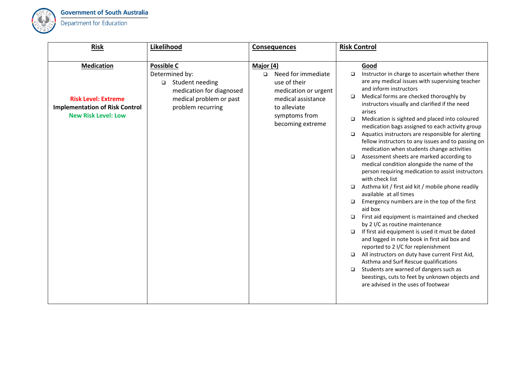

**Government of South Australia** ٠

| <b>Risk</b>                                                                                                            | Likelihood                                                                                                                                   | <b>Consequences</b>                                                                                                                                          | <b>Risk Control</b>                                                                                                                                                                                                                                                                                                                                                                                                                                                                                                                                                                                                                                                                                                                                                                                                                                                                                                                                                                                                                                                                                                                                                                                                                                                                                                                                                                       |
|------------------------------------------------------------------------------------------------------------------------|----------------------------------------------------------------------------------------------------------------------------------------------|--------------------------------------------------------------------------------------------------------------------------------------------------------------|-------------------------------------------------------------------------------------------------------------------------------------------------------------------------------------------------------------------------------------------------------------------------------------------------------------------------------------------------------------------------------------------------------------------------------------------------------------------------------------------------------------------------------------------------------------------------------------------------------------------------------------------------------------------------------------------------------------------------------------------------------------------------------------------------------------------------------------------------------------------------------------------------------------------------------------------------------------------------------------------------------------------------------------------------------------------------------------------------------------------------------------------------------------------------------------------------------------------------------------------------------------------------------------------------------------------------------------------------------------------------------------------|
|                                                                                                                        |                                                                                                                                              |                                                                                                                                                              |                                                                                                                                                                                                                                                                                                                                                                                                                                                                                                                                                                                                                                                                                                                                                                                                                                                                                                                                                                                                                                                                                                                                                                                                                                                                                                                                                                                           |
| <b>Medication</b><br><b>Risk Level: Extreme</b><br><b>Implementation of Risk Control</b><br><b>New Risk Level: Low</b> | <b>Possible C</b><br>Determined by:<br>Student needing<br>$\Box$<br>medication for diagnosed<br>medical problem or past<br>problem recurring | Major (4)<br>Need for immediate<br>$\Box$<br>use of their<br>medication or urgent<br>medical assistance<br>to alleviate<br>symptoms from<br>becoming extreme | Good<br>$\Box$<br>Instructor in charge to ascertain whether there<br>are any medical issues with supervising teacher<br>and inform instructors<br>Medical forms are checked thoroughly by<br>$\Box$<br>instructors visually and clarified if the need<br>arises<br>Medication is sighted and placed into coloured<br>$\Box$<br>medication bags assigned to each activity group<br>Aquatics instructors are responsible for alerting<br>$\Box$<br>fellow instructors to any issues and to passing on<br>medication when students change activities<br>Assessment sheets are marked according to<br>$\Box$<br>medical condition alongside the name of the<br>person requiring medication to assist instructors<br>with check list<br>Asthma kit / first aid kit / mobile phone readily<br>□<br>available at all times<br>Emergency numbers are in the top of the first<br>$\Box$<br>aid box<br>First aid equipment is maintained and checked<br>$\Box$<br>by 2 I/C as routine maintenance<br>If first aid equipment is used it must be dated<br>□<br>and logged in note book in first aid box and<br>reported to 2 I/C for replenishment<br>All instructors on duty have current First Aid,<br>$\Box$<br>Asthma and Surf Rescue qualifications<br>Students are warned of dangers such as<br>$\Box$<br>beestings, cuts to feet by unknown objects and<br>are advised in the uses of footwear |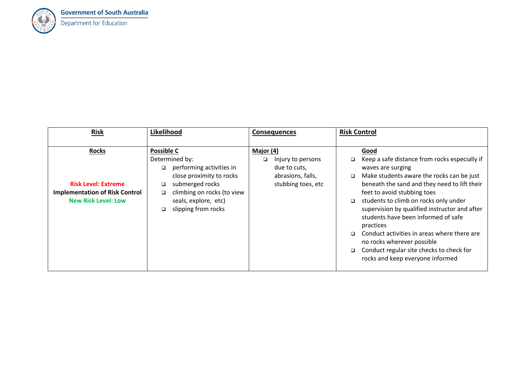

| <b>Risk</b>                                                                                       | Likelihood                                                                                                                                                                                                     | <b>Consequences</b>                                                                    | <b>Risk Control</b>                                                                                                                                                                                                                                                                                                                                                                                                                                                                                                                               |
|---------------------------------------------------------------------------------------------------|----------------------------------------------------------------------------------------------------------------------------------------------------------------------------------------------------------------|----------------------------------------------------------------------------------------|---------------------------------------------------------------------------------------------------------------------------------------------------------------------------------------------------------------------------------------------------------------------------------------------------------------------------------------------------------------------------------------------------------------------------------------------------------------------------------------------------------------------------------------------------|
|                                                                                                   |                                                                                                                                                                                                                |                                                                                        |                                                                                                                                                                                                                                                                                                                                                                                                                                                                                                                                                   |
| <b>Rocks</b>                                                                                      | <b>Possible C</b>                                                                                                                                                                                              | Major (4)                                                                              | Good                                                                                                                                                                                                                                                                                                                                                                                                                                                                                                                                              |
| <b>Risk Level: Extreme</b><br><b>Implementation of Risk Control</b><br><b>New Risk Level: Low</b> | Determined by:<br>performing activities in<br>$\Box$<br>close proximity to rocks<br>submerged rocks<br>$\Box$<br>climbing on rocks (to view<br>$\Box$<br>seals, explore, etc)<br>slipping from rocks<br>$\Box$ | Injury to persons<br>$\Box$<br>due to cuts,<br>abrasions, falls,<br>stubbing toes, etc | Keep a safe distance from rocks especially if<br>waves are surging<br>Make students aware the rocks can be just<br>$\Box$<br>beneath the sand and they need to lift their<br>feet to avoid stubbing toes<br>students to climb on rocks only under<br>$\Box$<br>supervision by qualified instructor and after<br>students have been informed of safe<br>practices<br>Conduct activities in areas where there are<br>$\Box$<br>no rocks wherever possible<br>Conduct regular site checks to check for<br>$\Box$<br>rocks and keep everyone informed |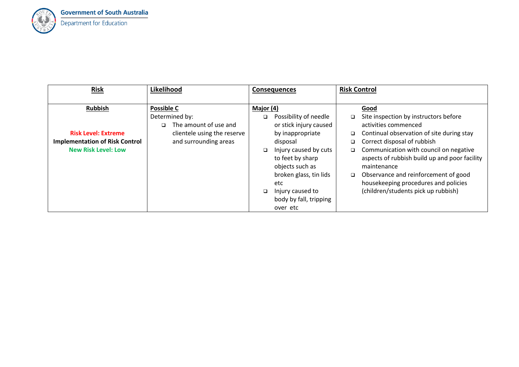

**Government of South Australia**  $\overline{\phantom{a}}$ Department for Education

| <b>Risk</b>                           | Likelihood                      | <b>Consequences</b>                                                    | <b>Risk Control</b>                                                                                    |
|---------------------------------------|---------------------------------|------------------------------------------------------------------------|--------------------------------------------------------------------------------------------------------|
|                                       |                                 |                                                                        |                                                                                                        |
| <b>Rubbish</b>                        | Possible C                      | Major (4)                                                              | Good                                                                                                   |
|                                       | Determined by:                  | Possibility of needle<br>□                                             | Site inspection by instructors before                                                                  |
|                                       | The amount of use and<br>$\Box$ | or stick injury caused                                                 | activities commenced                                                                                   |
| <b>Risk Level: Extreme</b>            | clientele using the reserve     | by inappropriate                                                       | Continual observation of site during stay<br>$\Box$                                                    |
| <b>Implementation of Risk Control</b> | and surrounding areas           | disposal                                                               | Correct disposal of rubbish<br>$\Box$                                                                  |
| <b>New Risk Level: Low</b>            |                                 | Injury caused by cuts<br>$\Box$<br>to feet by sharp<br>objects such as | Communication with council on negative<br>aspects of rubbish build up and poor facility<br>maintenance |
|                                       |                                 | broken glass, tin lids<br>etc                                          | □ Observance and reinforcement of good<br>housekeeping procedures and policies                         |
|                                       |                                 | Injury caused to<br>$\Box$                                             | (children/students pick up rubbish)                                                                    |
|                                       |                                 | body by fall, tripping                                                 |                                                                                                        |
|                                       |                                 | over etc                                                               |                                                                                                        |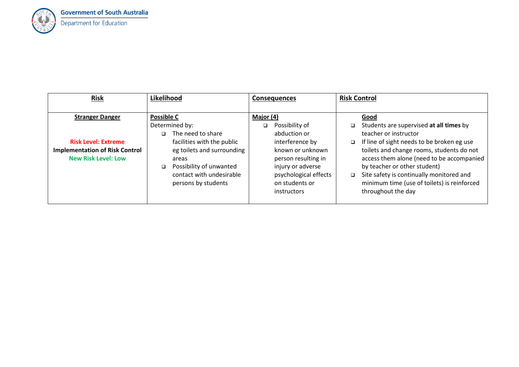

| <b>Risk</b>                                                                                                                 | Likelihood                                                                                                                                                                                                                      | <b>Consequences</b>                                                                                                                                                                                | <b>Risk Control</b>                                                                                                                                                                                                                                                                                                                                                                             |
|-----------------------------------------------------------------------------------------------------------------------------|---------------------------------------------------------------------------------------------------------------------------------------------------------------------------------------------------------------------------------|----------------------------------------------------------------------------------------------------------------------------------------------------------------------------------------------------|-------------------------------------------------------------------------------------------------------------------------------------------------------------------------------------------------------------------------------------------------------------------------------------------------------------------------------------------------------------------------------------------------|
| <b>Stranger Danger</b><br><b>Risk Level: Extreme</b><br><b>Implementation of Risk Control</b><br><b>New Risk Level: Low</b> | <b>Possible C</b><br>Determined by:<br>The need to share<br>$\Box$<br>facilities with the public<br>eg toilets and surrounding<br>areas<br>Possibility of unwanted<br>$\Box$<br>contact with undesirable<br>persons by students | Major (4)<br>Possibility of<br>$\Box$<br>abduction or<br>interference by<br>known or unknown<br>person resulting in<br>injury or adverse<br>psychological effects<br>on students or<br>instructors | Good<br>Students are supervised at all times by<br>$\Box$<br>teacher or instructor<br>If line of sight needs to be broken eg use<br>$\Box$<br>toilets and change rooms, students do not<br>access them alone (need to be accompanied<br>by teacher or other student)<br>Site safety is continually monitored and<br>$\Box$<br>minimum time (use of toilets) is reinforced<br>throughout the day |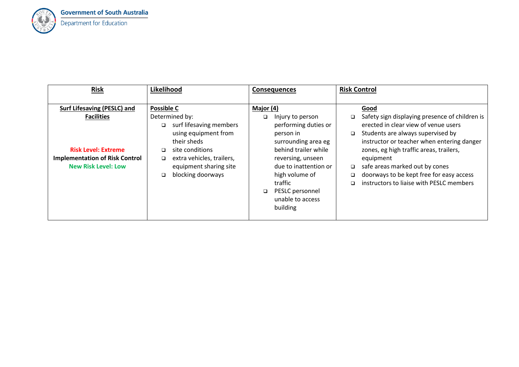

**Government of South Australia**  $\overline{\phantom{a}}$ Department for Education

| <b>Risk</b>                                                                                                            | Likelihood                                                                                                                                                                                                         | <b>Consequences</b>                                                                                                                                                                                                                                    | <b>Risk Control</b>                                                                                                                                                                                                                                                                                                                                                                                 |
|------------------------------------------------------------------------------------------------------------------------|--------------------------------------------------------------------------------------------------------------------------------------------------------------------------------------------------------------------|--------------------------------------------------------------------------------------------------------------------------------------------------------------------------------------------------------------------------------------------------------|-----------------------------------------------------------------------------------------------------------------------------------------------------------------------------------------------------------------------------------------------------------------------------------------------------------------------------------------------------------------------------------------------------|
|                                                                                                                        |                                                                                                                                                                                                                    |                                                                                                                                                                                                                                                        |                                                                                                                                                                                                                                                                                                                                                                                                     |
| Surf Lifesaving (PESLC) and                                                                                            | <b>Possible C</b>                                                                                                                                                                                                  | Major (4)                                                                                                                                                                                                                                              | Good                                                                                                                                                                                                                                                                                                                                                                                                |
| <b>Facilities</b><br><b>Risk Level: Extreme</b><br><b>Implementation of Risk Control</b><br><b>New Risk Level: Low</b> | Determined by:<br>surf lifesaving members<br>$\Box$<br>using equipment from<br>their sheds<br>site conditions<br>□<br>extra vehicles, trailers,<br>$\Box$<br>equipment sharing site<br>blocking doorways<br>$\Box$ | $\Box$<br>Injury to person<br>performing duties or<br>person in<br>surrounding area eg<br>behind trailer while<br>reversing, unseen<br>due to inattention or<br>high volume of<br>traffic<br>PESLC personnel<br>$\Box$<br>unable to access<br>building | Safety sign displaying presence of children is<br>$\Box$<br>erected in clear view of venue users<br>Students are always supervised by<br>$\Box$<br>instructor or teacher when entering danger<br>zones, eg high traffic areas, trailers,<br>equipment<br>safe areas marked out by cones<br>□<br>doorways to be kept free for easy access<br>□<br>instructors to liaise with PESLC members<br>$\Box$ |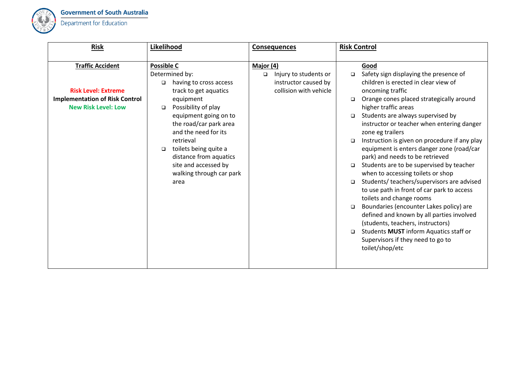

**Government of South Australia** ٠

| <b>Risk</b>                                                                                       | Likelihood                                                                                                                                                                                                                                                                                                                                 | <b>Consequences</b>                                                               | <b>Risk Control</b>                                                                                                                                                                                                                                                                                                                                                                                                                                                                                                                                                                                                                                                                                                                                                                                                                                                                                                                   |
|---------------------------------------------------------------------------------------------------|--------------------------------------------------------------------------------------------------------------------------------------------------------------------------------------------------------------------------------------------------------------------------------------------------------------------------------------------|-----------------------------------------------------------------------------------|---------------------------------------------------------------------------------------------------------------------------------------------------------------------------------------------------------------------------------------------------------------------------------------------------------------------------------------------------------------------------------------------------------------------------------------------------------------------------------------------------------------------------------------------------------------------------------------------------------------------------------------------------------------------------------------------------------------------------------------------------------------------------------------------------------------------------------------------------------------------------------------------------------------------------------------|
|                                                                                                   |                                                                                                                                                                                                                                                                                                                                            |                                                                                   |                                                                                                                                                                                                                                                                                                                                                                                                                                                                                                                                                                                                                                                                                                                                                                                                                                                                                                                                       |
| <b>Traffic Accident</b>                                                                           | <b>Possible C</b>                                                                                                                                                                                                                                                                                                                          | Major (4)                                                                         | Good                                                                                                                                                                                                                                                                                                                                                                                                                                                                                                                                                                                                                                                                                                                                                                                                                                                                                                                                  |
| <b>Risk Level: Extreme</b><br><b>Implementation of Risk Control</b><br><b>New Risk Level: Low</b> | Determined by:<br>having to cross access<br>$\Box$<br>track to get aquatics<br>equipment<br>Possibility of play<br>$\Box$<br>equipment going on to<br>the road/car park area<br>and the need for its<br>retrieval<br>toilets being quite a<br>$\Box$<br>distance from aquatics<br>site and accessed by<br>walking through car park<br>area | Injury to students or<br>$\Box$<br>instructor caused by<br>collision with vehicle | Safety sign displaying the presence of<br>$\Box$<br>children is erected in clear view of<br>oncoming traffic<br>Orange cones placed strategically around<br>$\Box$<br>higher traffic areas<br>Students are always supervised by<br>$\Box$<br>instructor or teacher when entering danger<br>zone eg trailers<br>Instruction is given on procedure if any play<br>$\Box$<br>equipment is enters danger zone (road/car<br>park) and needs to be retrieved<br>Students are to be supervised by teacher<br>$\Box$<br>when to accessing toilets or shop<br>Students/teachers/supervisors are advised<br>$\Box$<br>to use path in front of car park to access<br>toilets and change rooms<br>Boundaries (encounter Lakes policy) are<br>$\Box$<br>defined and known by all parties involved<br>(students, teachers, instructors)<br>Students MUST inform Aquatics staff or<br>$\Box$<br>Supervisors if they need to go to<br>toilet/shop/etc |
|                                                                                                   |                                                                                                                                                                                                                                                                                                                                            |                                                                                   |                                                                                                                                                                                                                                                                                                                                                                                                                                                                                                                                                                                                                                                                                                                                                                                                                                                                                                                                       |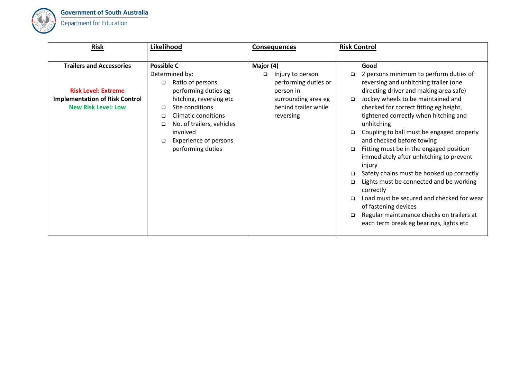

**Government of South Australia** ٠

| <b>Risk</b>                                                                                            | Likelihood                                                                                                                                                       | <b>Consequences</b>                                                                                 | <b>Risk Control</b>                                                                                                                                                                                                                                                                                                                                                                                                                                                                                                                                                               |
|--------------------------------------------------------------------------------------------------------|------------------------------------------------------------------------------------------------------------------------------------------------------------------|-----------------------------------------------------------------------------------------------------|-----------------------------------------------------------------------------------------------------------------------------------------------------------------------------------------------------------------------------------------------------------------------------------------------------------------------------------------------------------------------------------------------------------------------------------------------------------------------------------------------------------------------------------------------------------------------------------|
|                                                                                                        |                                                                                                                                                                  |                                                                                                     |                                                                                                                                                                                                                                                                                                                                                                                                                                                                                                                                                                                   |
| <b>Trailers and Accessories</b><br><b>Risk Level: Extreme</b><br><b>Implementation of Risk Control</b> | <b>Possible C</b><br>Determined by:<br>Ratio of persons<br>$\Box$<br>performing duties eg<br>hitching, reversing etc                                             | Major (4)<br>Injury to person<br>$\Box$<br>performing duties or<br>person in<br>surrounding area eg | Good<br>2 persons minimum to perform duties of<br>$\Box$<br>reversing and unhitching trailer (one<br>directing driver and making area safe)<br>Jockey wheels to be maintained and<br>$\Box$                                                                                                                                                                                                                                                                                                                                                                                       |
| <b>New Risk Level: Low</b>                                                                             | Site conditions<br>$\Box$<br>Climatic conditions<br>□<br>No. of trailers, vehicles<br>$\Box$<br>involved<br>Experience of persons<br>$\Box$<br>performing duties | behind trailer while<br>reversing                                                                   | checked for correct fitting eg height,<br>tightened correctly when hitching and<br>unhitching<br>Coupling to ball must be engaged properly<br>and checked before towing<br>Fitting must be in the engaged position<br>$\Box$<br>immediately after unhitching to prevent<br>injury<br>Safety chains must be hooked up correctly<br>$\Box$<br>Lights must be connected and be working<br>correctly<br>Load must be secured and checked for wear<br>$\Box$<br>of fastening devices<br>Regular maintenance checks on trailers at<br>$\Box$<br>each term break eg bearings, lights etc |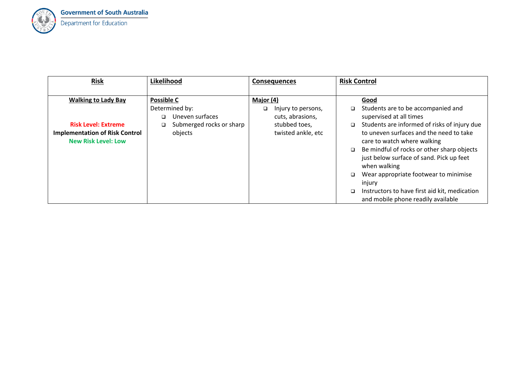

| <b>Risk</b>                                                                                                                     | Likelihood                                                                                                   | <b>Consequences</b>                                                                                  | <b>Risk Control</b>                                                                                                                                                                                                                                                                                                                                                    |
|---------------------------------------------------------------------------------------------------------------------------------|--------------------------------------------------------------------------------------------------------------|------------------------------------------------------------------------------------------------------|------------------------------------------------------------------------------------------------------------------------------------------------------------------------------------------------------------------------------------------------------------------------------------------------------------------------------------------------------------------------|
|                                                                                                                                 |                                                                                                              |                                                                                                      |                                                                                                                                                                                                                                                                                                                                                                        |
| <b>Walking to Lady Bay</b><br><b>Risk Level: Extreme</b><br><b>Implementation of Risk Control</b><br><b>New Risk Level: Low</b> | <b>Possible C</b><br>Determined by:<br>Uneven surfaces<br>$\Box$<br>Submerged rocks or sharp<br>□<br>objects | Major (4)<br>Injury to persons,<br>$\Box$<br>cuts, abrasions,<br>stubbed toes,<br>twisted ankle, etc | Good<br>Students are to be accompanied and<br>supervised at all times<br>Students are informed of risks of injury due<br>$\Box$<br>to uneven surfaces and the need to take<br>care to watch where walking<br>Be mindful of rocks or other sharp objects<br>just below surface of sand. Pick up feet<br>when walking<br>Wear appropriate footwear to minimise<br>injury |
|                                                                                                                                 |                                                                                                              |                                                                                                      | Instructors to have first aid kit, medication<br>$\Box$<br>and mobile phone readily available                                                                                                                                                                                                                                                                          |